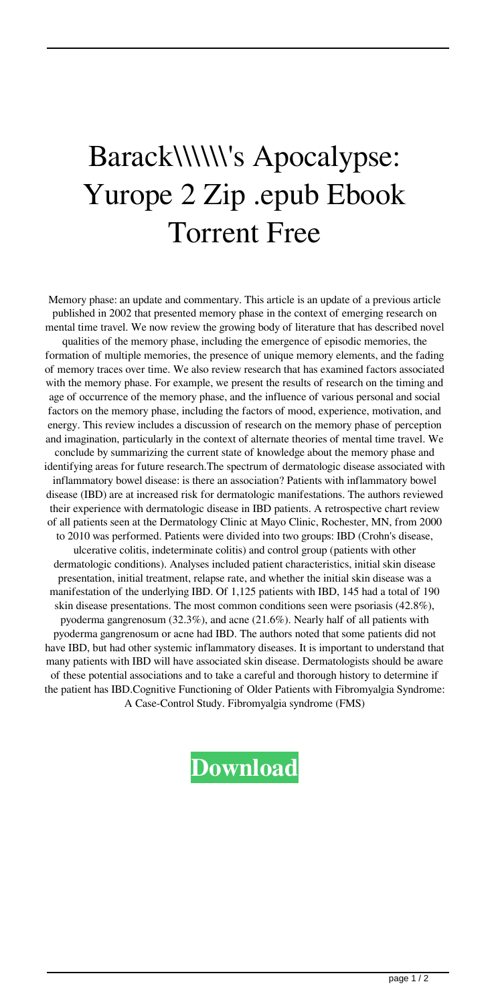## Barack\\\\\\'s Apocalypse: Yurope 2 Zip .epub Ebook Torrent Free

Memory phase: an update and commentary. This article is an update of a previous article published in 2002 that presented memory phase in the context of emerging research on mental time travel. We now review the growing body of literature that has described novel qualities of the memory phase, including the emergence of episodic memories, the formation of multiple memories, the presence of unique memory elements, and the fading of memory traces over time. We also review research that has examined factors associated with the memory phase. For example, we present the results of research on the timing and age of occurrence of the memory phase, and the influence of various personal and social factors on the memory phase, including the factors of mood, experience, motivation, and energy. This review includes a discussion of research on the memory phase of perception and imagination, particularly in the context of alternate theories of mental time travel. We conclude by summarizing the current state of knowledge about the memory phase and identifying areas for future research.The spectrum of dermatologic disease associated with inflammatory bowel disease: is there an association? Patients with inflammatory bowel disease (IBD) are at increased risk for dermatologic manifestations. The authors reviewed their experience with dermatologic disease in IBD patients. A retrospective chart review of all patients seen at the Dermatology Clinic at Mayo Clinic, Rochester, MN, from 2000 to 2010 was performed. Patients were divided into two groups: IBD (Crohn's disease, ulcerative colitis, indeterminate colitis) and control group (patients with other dermatologic conditions). Analyses included patient characteristics, initial skin disease presentation, initial treatment, relapse rate, and whether the initial skin disease was a manifestation of the underlying IBD. Of 1,125 patients with IBD, 145 had a total of 190 skin disease presentations. The most common conditions seen were psoriasis (42.8%), pyoderma gangrenosum (32.3%), and acne (21.6%). Nearly half of all patients with pyoderma gangrenosum or acne had IBD. The authors noted that some patients did not have IBD, but had other systemic inflammatory diseases. It is important to understand that many patients with IBD will have associated skin disease. Dermatologists should be aware of these potential associations and to take a careful and thorough history to determine if the patient has IBD.Cognitive Functioning of Older Patients with Fibromyalgia Syndrome: A Case-Control Study. Fibromyalgia syndrome (FMS)

## **[Download](http://evacdir.com/successfulness/persephone/?ZG93bmxvYWR8dmY5TVdWblozeDhNVFkxTWpjME1EZzJObng4TWpVM05IeDhLRTBwSUhKbFlXUXRZbXh2WnlCYlJtRnpkQ0JIUlU1ZA=&bushfires=pedic&QmFyYWNrXFxcXFxcJ3MgQXBvY2FseXBzZTogWXVyb3BlIDIgZG93bmxvYWQgcGRmQmF=toul)**